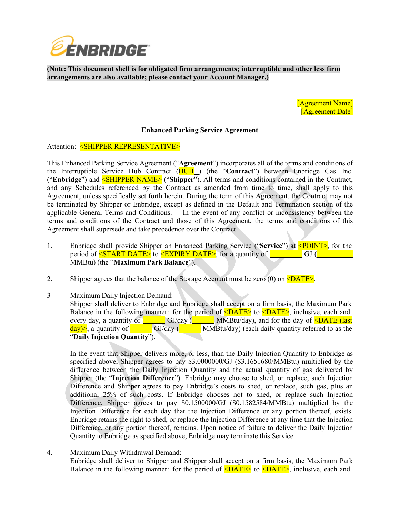

**(Note: This document shell is for obligated firm arrangements; interruptible and other less firm arrangements are also available; please contact your Account Manager.)**

> [Agreement Name] [Agreement Date]

## **Enhanced Parking Service Agreement**

Attention: <SHIPPER REPRESENTATIVE>

This Enhanced Parking Service Agreement ("**Agreement**") incorporates all of the terms and conditions of the Interruptible Service Hub Contract (HUB ) (the "**Contract**") between Enbridge Gas Inc. ("**Enbridge**") and <SHIPPER NAME> ("**Shipper**"). All terms and conditions contained in the Contract, and any Schedules referenced by the Contract as amended from time to time, shall apply to this Agreement, unless specifically set forth herein. During the term of this Agreement, the Contract may not be terminated by Shipper or Enbridge, except as defined in the Default and Termination section of the applicable General Terms and Conditions. In the event of any conflict or inconsistency between the terms and conditions of the Contract and those of this Agreement, the terms and conditions of this Agreement shall supersede and take precedence over the Contract.

- 1. Enbridge shall provide Shipper an Enhanced Parking Service ("**Service**") at <POINT>, for the period of <START DATE> to <EXPIRY DATE>, for a quantity of <u>secondal</u> GJ ( MMBtu) (the "**Maximum Park Balance**").
- 2. Shipper agrees that the balance of the Storage Account must be zero (0) on  $\langle$ DATE>.
- 3 Maximum Daily Injection Demand: Shipper shall deliver to Enbridge and Enbridge shall accept on a firm basis, the Maximum Park Balance in the following manner: for the period of  $\langle$ DATE> to  $\langle$ DATE>, inclusive, each and every day, a quantity of <u>County Calleday</u> (County MMBtu/day), and for the day of **<DATE** (last day)>, a quantity of <u>National</u> GJ/day (**National Studior)** (each daily quantity referred to as the "**Daily Injection Quantity**").

In the event that Shipper delivers more, or less, than the Daily Injection Quantity to Enbridge as specified above, Shipper agrees to pay \$3.0000000/GJ (\$3.1651680/MMBtu) multiplied by the difference between the Daily Injection Quantity and the actual quantity of gas delivered by Shipper (the "**Injection Difference**"). Enbridge may choose to shed, or replace, such Injection Difference and Shipper agrees to pay Enbridge's costs to shed, or replace, such gas, plus an additional 25% of such costs. If Enbridge chooses not to shed, or replace such Injection Difference, Shipper agrees to pay \$0.1500000/GJ (\$0.1582584/MMBtu) multiplied by the Injection Difference for each day that the Injection Difference or any portion thereof, exists. Enbridge retains the right to shed, or replace the Injection Difference at any time that the Injection Difference, or any portion thereof, remains. Upon notice of failure to deliver the Daily Injection Quantity to Enbridge as specified above, Enbridge may terminate this Service.

4. Maximum Daily Withdrawal Demand: Enbridge shall deliver to Shipper and Shipper shall accept on a firm basis, the Maximum Park Balance in the following manner: for the period of  $\langle$ DATE $\rangle$  to  $\langle$ DATE $\rangle$ , inclusive, each and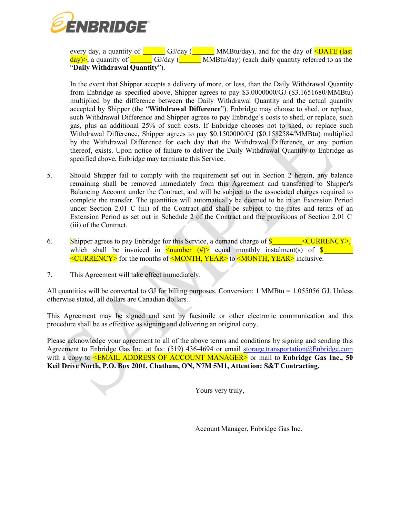

every day, a quantity of <u>secondal</u> GJ/day (**Cassberger MMBtu/day**), and for the day of **<DATE** (last  $\frac{day}{>}$ , a quantity of GJ/day (**WALDREGAU)** (each daily quantity referred to as the "**Daily Withdrawal Quantity**").

In the event that Shipper accepts a delivery of more, or less, than the Daily Withdrawal Quantity from Enbridge as specified above, Shipper agrees to pay \$3.0000000/GJ (\$3.1651680/MMBtu) multiplied by the difference between the Daily Withdrawal Quantity and the actual quantity accepted by Shipper (the "**Withdrawal Difference**"). Enbridge may choose to shed, or replace, such Withdrawal Difference and Shipper agrees to pay Enbridge's costs to shed, or replace, such gas, plus an additional 25% of such costs. If Enbridge chooses not to shed, or replace such Withdrawal Difference, Shipper agrees to pay \$0.1500000/GJ (\$0.1582584/MMBtu) multiplied by the Withdrawal Difference for each day that the Withdrawal Difference, or any portion thereof, exists. Upon notice of failure to deliver the Daily Withdrawal Quantity to Enbridge as specified above, Enbridge may terminate this Service.

- 5. Should Shipper fail to comply with the requirement set out in Section 2 herein, any balance remaining shall be removed immediately from this Agreement and transferred to Shipper's Balancing Account under the Contract, and will be subject to the associated charges required to complete the transfer. The quantities will automatically be deemed to be in an Extension Period under Section 2.01 C (iii) of the Contract and shall be subject to the rates and terms of an Extension Period as set out in Schedule 2 of the Contract and the provisions of Section 2.01 C (iii) of the Contract.
- 6. Shipper agrees to pay Enbridge for this Service, a demand charge of  $\frac{\text{S}}{\text{S}}$  <CURRENCY>, which shall be invoiced in  $\leq$ number (#)> equal monthly instalment(s) of  $\frac{1}{2}$ <CURRENCY> for the months of <MONTH, YEAR> to <MONTH, YEAR> inclusive.
- 7. This Agreement will take effect immediately.

All quantities will be converted to GJ for billing purposes. Conversion: 1 MMBtu = 1.055056 GJ. Unless otherwise stated, all dollars are Canadian dollars.

This Agreement may be signed and sent by facsimile or other electronic communication and this procedure shall be as effective as signing and delivering an original copy.

Please acknowledge your agreement to all of the above terms and conditions by signing and sending this Agreement to Enbridge Gas Inc. at fax: (519) 436-4694 or email [storage.transportation@Enbridge.com](mailto:storage.transportation@uniongas.com) with a copy to <EMAIL ADDRESS OF ACCOUNT MANAGER> or mail to **Enbridge Gas Inc., 50 Keil Drive North, P.O. Box 2001, Chatham, ON, N7M 5M1, Attention: S&T Contracting.**

Yours very truly,

Account Manager, Enbridge Gas Inc.